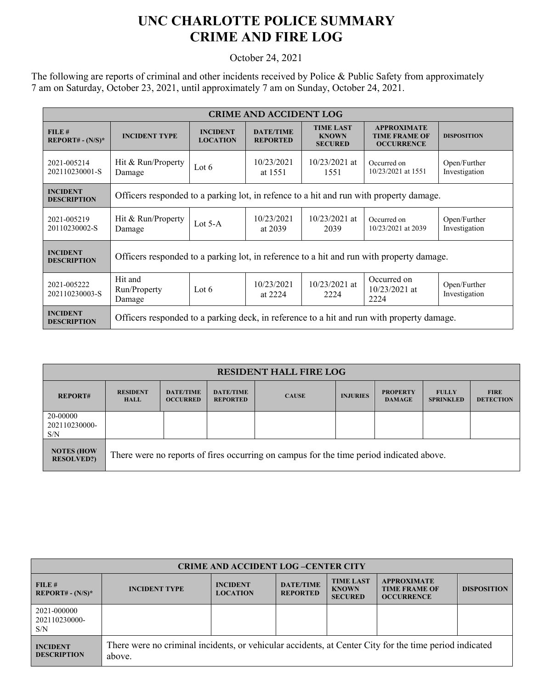## **UNC CHARLOTTE POLICE SUMMARY CRIME AND FIRE LOG**

October 24, 2021

The following are reports of criminal and other incidents received by Police & Public Safety from approximately 7 am on Saturday, October 23, 2021, until approximately 7 am on Sunday, October 24, 2021.

| <b>CRIME AND ACCIDENT LOG</b>         |                                                                                           |                                    |                                     |                                                    |                                                                 |                               |  |
|---------------------------------------|-------------------------------------------------------------------------------------------|------------------------------------|-------------------------------------|----------------------------------------------------|-----------------------------------------------------------------|-------------------------------|--|
| FILE#<br>$REPORT# - (N/S)*$           | <b>INCIDENT TYPE</b>                                                                      | <b>INCIDENT</b><br><b>LOCATION</b> | <b>DATE/TIME</b><br><b>REPORTED</b> | <b>TIME LAST</b><br><b>KNOWN</b><br><b>SECURED</b> | <b>APPROXIMATE</b><br><b>TIME FRAME OF</b><br><b>OCCURRENCE</b> | <b>DISPOSITION</b>            |  |
| 2021-005214<br>202110230001-S         | Hit & Run/Property<br>Damage                                                              | Lot $6$                            | 10/23/2021<br>at 1551               | $10/23/2021$ at<br>1551                            | Occurred on<br>10/23/2021 at 1551                               | Open/Further<br>Investigation |  |
| <b>INCIDENT</b><br><b>DESCRIPTION</b> | Officers responded to a parking lot, in refence to a hit and run with property damage.    |                                    |                                     |                                                    |                                                                 |                               |  |
| 2021-005219<br>20110230002-S          | Hit & Run/Property<br>Damage                                                              | Lot $5-A$                          | 10/23/2021<br>at 2039               | $10/23/2021$ at<br>2039                            | Occurred on<br>10/23/2021 at 2039                               | Open/Further<br>Investigation |  |
| <b>INCIDENT</b><br><b>DESCRIPTION</b> | Officers responded to a parking lot, in reference to a hit and run with property damage.  |                                    |                                     |                                                    |                                                                 |                               |  |
| 2021-005222<br>202110230003-S         | Hit and<br>Run/Property<br>Damage                                                         | Lot $6$                            | 10/23/2021<br>at 2224               | $10/23/2021$ at<br>2224                            | Occurred on<br>$10/23/2021$ at<br>2224                          | Open/Further<br>Investigation |  |
| <b>INCIDENT</b><br><b>DESCRIPTION</b> | Officers responded to a parking deck, in reference to a hit and run with property damage. |                                    |                                     |                                                    |                                                                 |                               |  |

| <b>RESIDENT HALL FIRE LOG</b>          |                                                                                         |                                     |                                     |              |                 |                                  |                                  |                                 |
|----------------------------------------|-----------------------------------------------------------------------------------------|-------------------------------------|-------------------------------------|--------------|-----------------|----------------------------------|----------------------------------|---------------------------------|
| <b>REPORT#</b>                         | <b>RESIDENT</b><br><b>HALL</b>                                                          | <b>DATE/TIME</b><br><b>OCCURRED</b> | <b>DATE/TIME</b><br><b>REPORTED</b> | <b>CAUSE</b> | <b>INJURIES</b> | <b>PROPERTY</b><br><b>DAMAGE</b> | <b>FULLY</b><br><b>SPRINKLED</b> | <b>FIRE</b><br><b>DETECTION</b> |
| 20-00000<br>202110230000-<br>S/N       |                                                                                         |                                     |                                     |              |                 |                                  |                                  |                                 |
| <b>NOTES (HOW</b><br><b>RESOLVED?)</b> | There were no reports of fires occurring on campus for the time period indicated above. |                                     |                                     |              |                 |                                  |                                  |                                 |

| <b>CRIME AND ACCIDENT LOG-CENTER CITY</b> |                                                                                                                  |                                    |                                     |                                                    |                                                                 |                    |  |
|-------------------------------------------|------------------------------------------------------------------------------------------------------------------|------------------------------------|-------------------------------------|----------------------------------------------------|-----------------------------------------------------------------|--------------------|--|
| FILE#<br>$REPORT# - (N/S)*$               | <b>INCIDENT TYPE</b>                                                                                             | <b>INCIDENT</b><br><b>LOCATION</b> | <b>DATE/TIME</b><br><b>REPORTED</b> | <b>TIME LAST</b><br><b>KNOWN</b><br><b>SECURED</b> | <b>APPROXIMATE</b><br><b>TIME FRAME OF</b><br><b>OCCURRENCE</b> | <b>DISPOSITION</b> |  |
| 2021-000000<br>202110230000-<br>S/N       |                                                                                                                  |                                    |                                     |                                                    |                                                                 |                    |  |
| <b>INCIDENT</b><br><b>DESCRIPTION</b>     | There were no criminal incidents, or vehicular accidents, at Center City for the time period indicated<br>above. |                                    |                                     |                                                    |                                                                 |                    |  |